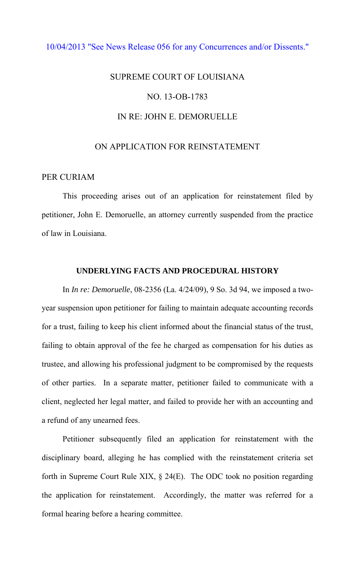#### [10/04/2013 "See News Release 056 for any Concurrences and/or Dissents."](http://www.lasc.org/Actions?p=2013-056)

# SUPREME COURT OF LOUISIANA NO. 13-OB-1783 IN RE: JOHN E. DEMORUELLE

## ON APPLICATION FOR REINSTATEMENT

### PER CURIAM

 This proceeding arises out of an application for reinstatement filed by petitioner, John E. Demoruelle, an attorney currently suspended from the practice of law in Louisiana.

## **UNDERLYING FACTS AND PROCEDURAL HISTORY**

 In *In re: Demoruelle*, 08-2356 (La. 4/24/09), 9 So. 3d 94, we imposed a twoyear suspension upon petitioner for failing to maintain adequate accounting records for a trust, failing to keep his client informed about the financial status of the trust, failing to obtain approval of the fee he charged as compensation for his duties as trustee, and allowing his professional judgment to be compromised by the requests of other parties. In a separate matter, petitioner failed to communicate with a client, neglected her legal matter, and failed to provide her with an accounting and a refund of any unearned fees.

Petitioner subsequently filed an application for reinstatement with the disciplinary board, alleging he has complied with the reinstatement criteria set forth in Supreme Court Rule XIX, § 24(E). The ODC took no position regarding the application for reinstatement. Accordingly, the matter was referred for a formal hearing before a hearing committee.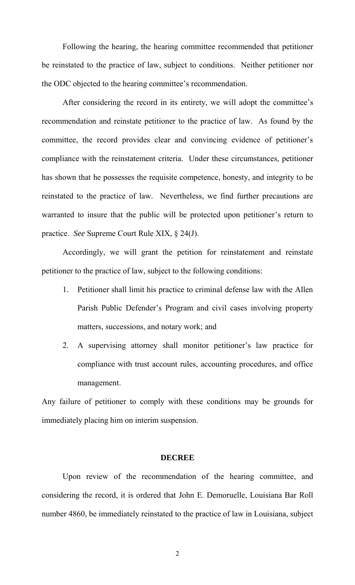Following the hearing, the hearing committee recommended that petitioner be reinstated to the practice of law, subject to conditions. Neither petitioner nor the ODC objected to the hearing committee's recommendation.

 After considering the record in its entirety, we will adopt the committee's recommendation and reinstate petitioner to the practice of law. As found by the committee, the record provides clear and convincing evidence of petitioner's compliance with the reinstatement criteria. Under these circumstances, petitioner has shown that he possesses the requisite competence, honesty, and integrity to be reinstated to the practice of law. Nevertheless, we find further precautions are warranted to insure that the public will be protected upon petitioner's return to practice. *See* Supreme Court Rule XIX, § 24(J).

Accordingly, we will grant the petition for reinstatement and reinstate petitioner to the practice of law, subject to the following conditions:

- 1. Petitioner shall limit his practice to criminal defense law with the Allen Parish Public Defender's Program and civil cases involving property matters, successions, and notary work; and
- 2. A supervising attorney shall monitor petitioner's law practice for compliance with trust account rules, accounting procedures, and office management.

Any failure of petitioner to comply with these conditions may be grounds for immediately placing him on interim suspension.

#### **DECREE**

 Upon review of the recommendation of the hearing committee, and considering the record, it is ordered that John E. Demoruelle, Louisiana Bar Roll number 4860, be immediately reinstated to the practice of law in Louisiana, subject

2